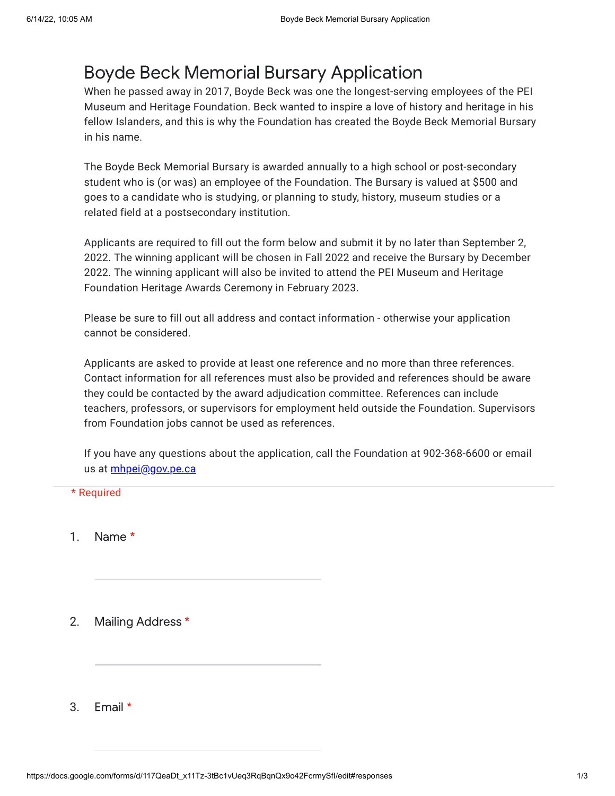## Boyde Beck Memorial Bursary Application

When he passed away in 2017, Boyde Beck was one the longest-serving employees of the PEI Museum and Heritage Foundation. Beck wanted to inspire a love of history and heritage in his fellow Islanders, and this is why the Foundation has created the Boyde Beck Memorial Bursary in his name.

The Boyde Beck Memorial Bursary is awarded annually to a high school or post-secondary student who is (or was) an employee of the Foundation. The Bursary is valued at \$500 and goes to a candidate who is studying, or planning to study, history, museum studies or a related field at a postsecondary institution.

Applicants are required to fill out the form below and submit it by no later than September 2, 2022. The winning applicant will be chosen in Fall 2022 and receive the Bursary by December 2022. The winning applicant will also be invited to attend the PEI Museum and Heritage Foundation Heritage Awards Ceremony in February 2023.

Please be sure to fill out all address and contact information - otherwise your application cannot be considered.

Applicants are asked to provide at least one reference and no more than three references. Contact information for all references must also be provided and references should be aware they could be contacted by the award adjudication committee. References can include teachers, professors, or supervisors for employment held outside the Foundation. Supervisors from Foundation jobs cannot be used as references.

If you have any questions about the application, call the Foundation at 902-368-6600 or email us at *[mhpei@gov.pe.ca](mailto:mhpei@gov.pe.ca)* 

## \* Required

- 1. Name \*
- 2. Mailing Address \*
- 3. Email \*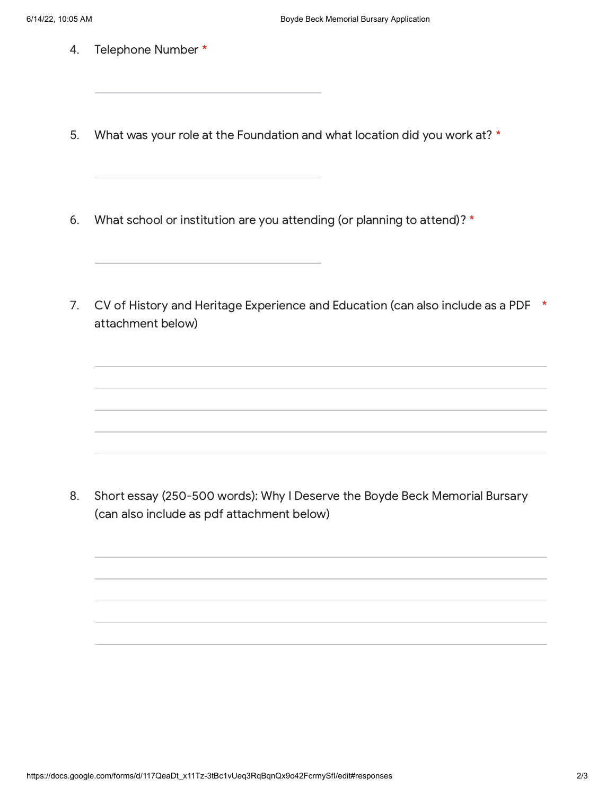- 4. Telephone Number \*
- 5. What was your role at the Foundation and what location did you work at? \*
- 6. What school or institution are you attending (or planning to attend)? \*
- 7. CV of History and Heritage Experience and Education (can also include as a PDF \* attachment below)

8. Short essay (250-500 words): Why I Deserve the Boyde Beck Memorial Bursary (can also include as pdf attachment below)